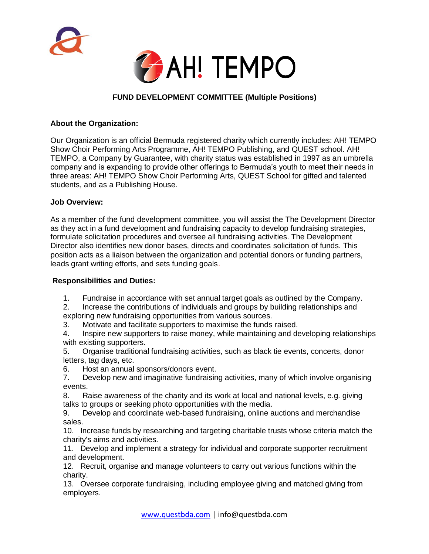



# **FUND DEVELOPMENT COMMITTEE (Multiple Positions)**

### **About the Organization:**

Our Organization is an official Bermuda registered charity which currently includes: AH! TEMPO Show Choir Performing Arts Programme, AH! TEMPO Publishing, and QUEST school. AH! TEMPO, a Company by Guarantee, with charity status was established in 1997 as an umbrella company and is expanding to provide other offerings to Bermuda's youth to meet their needs in three areas: AH! TEMPO Show Choir Performing Arts, QUEST School for gifted and talented students, and as a Publishing House.

#### **Job Overview:**

As a member of the fund development committee, you will assist the The Development Director as they act in a fund development and fundraising capacity to develop fundraising strategies, formulate solicitation procedures and oversee all fundraising activities. The Development Director also identifies new donor bases, directs and coordinates solicitation of funds. This position acts as a liaison between the organization and potential donors or funding partners, leads grant writing efforts, and sets funding goals.

#### **Responsibilities and Duties:**

- 1. Fundraise in accordance with set annual target goals as outlined by the Company.
- 2. Increase the contributions of individuals and groups by building relationships and exploring new fundraising opportunities from various sources.
- 3. Motivate and facilitate supporters to maximise the funds raised.
- 4. Inspire new supporters to raise money, while maintaining and developing relationships with existing supporters.
- 5. Organise traditional fundraising activities, such as black tie events, concerts, donor letters, tag days, etc.
- 6. Host an annual sponsors/donors event.
- 7. Develop new and imaginative fundraising activities, many of which involve organising events.
- 8. Raise awareness of the charity and its work at local and national levels, e.g. giving talks to groups or seeking photo opportunities with the media.
- 9. Develop and coordinate web-based fundraising, online auctions and merchandise sales.
- 10. Increase funds by researching and targeting charitable trusts whose criteria match the charity's aims and activities.
- 11. Develop and implement a strategy for individual and corporate supporter recruitment and development.
- 12. Recruit, organise and manage volunteers to carry out various functions within the charity.
- 13. Oversee corporate fundraising, including employee giving and matched giving from employers.